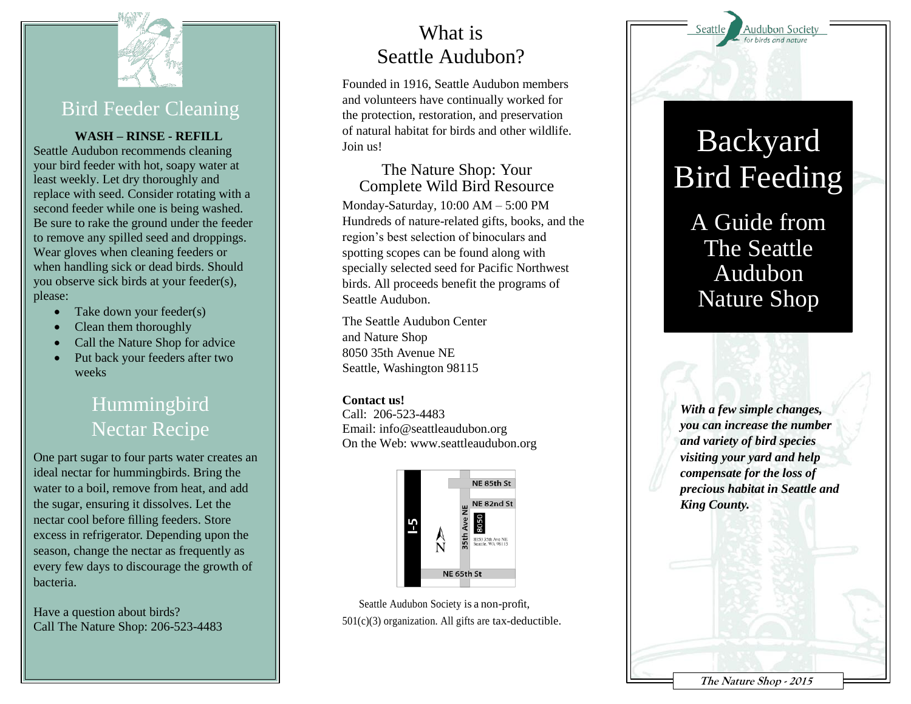

### Bird Feeder Cleaning

**WASH – RINSE - REFILL**

Seattle Audubon recommends cleaning your bird feeder with hot, soapy water at least weekly. Let dry thoroughly and replace with seed. Consider rotating with a second feeder while one is being washed. Be sure to rake the ground under the feeder to remove any spilled seed and droppings. Wear gloves when cleaning feeders or when handling sick or dead birds. Should you observe sick birds at your feeder(s), please:

- Take down your feeder(s)
- Clean them thoroughly
- Call the Nature Shop for advice
- Put back your feeders after two weeks

## **Hummingbird** Nectar Recipe

One part sugar to four parts water creates an ideal nectar for hummingbirds. Bring the water to a boil, remove from heat, and add the sugar, ensuring it dissolves. Let the nectar cool before filling feeders. Store excess in refrigerator. Depending upon the season, change the nectar as frequently as every few days to discourage the growth of bacteria.

Have a question about birds? Call The Nature Shop: 206-523-4483

## What is Seattle Audubon?

Founded in 1916, Seattle Audubon members and volunteers have continually worked for the protection, restoration, and preservation of natural habitat for birds and other wildlife. Join us!

#### The Nature Shop: Your Complete Wild Bird Resource

Monday-Saturday, 10:00 AM – 5:00 PM Hundreds of nature-related gifts, books, and the region's best selection of binoculars and spotting scopes can be found along with specially selected seed for Pacific Northwest birds. All proceeds benefit the programs of Seattle Audubon.

The Seattle Audubon Center and Nature Shop 8050 35th Avenue NE Seattle, Washington 98115

#### **Contact us!**

Call: 206-523-4483 Email: info@seattleaudubon.org On the Web: www.seattleaudubon.org



Seattle Audubon Society is a non-profit, 501(c)(3) organization. All gifts are tax-deductible. Audubon Society

# Backyard Bird Feeding

# A Guide from The Seattle Audubon Nature Shop

*With a few simple changes, you can increase the number and variety of bird species visiting your yard and help compensate for the loss of precious habitat in Seattle and King County.*